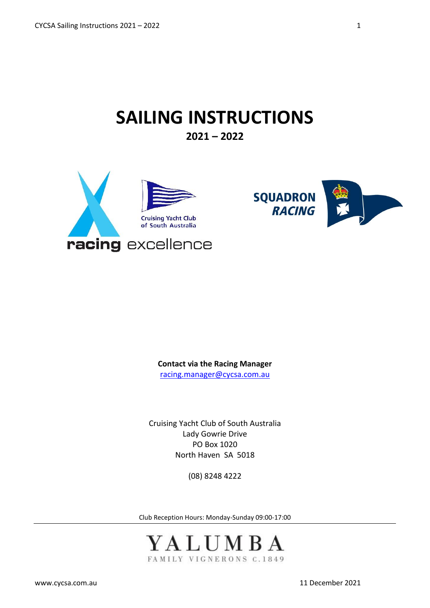# **SAILING INSTRUCTIONS**

**2021 – 2022**





**Contact via the Racing Manager** [racing.manager@cycsa.com.au](mailto:racing.manager@cycsa.com.au)

Cruising Yacht Club of South Australia Lady Gowrie Drive PO Box 1020 North Haven SA 5018

(08) 8248 4222

Club Reception Hours: Monday-Sunday 09:00-17:00

YALUMBA FAMILY VIGNERONS C.1849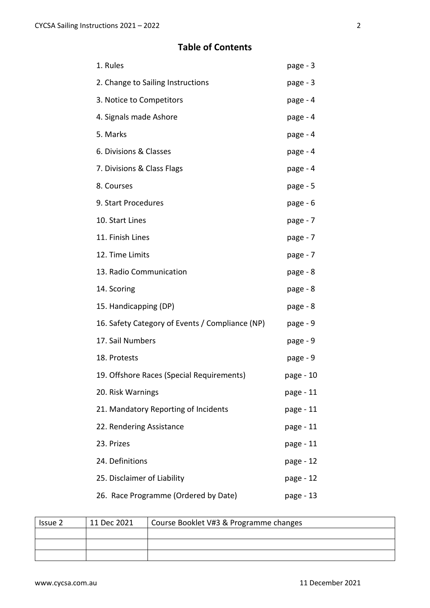# **Table of Contents**

| 1. Rules                                        | page - 3  |
|-------------------------------------------------|-----------|
| 2. Change to Sailing Instructions               | page - 3  |
| 3. Notice to Competitors                        | page - 4  |
| 4. Signals made Ashore                          | page - 4  |
| 5. Marks                                        | page - 4  |
| 6. Divisions & Classes                          | page - 4  |
| 7. Divisions & Class Flags                      | page - 4  |
| 8. Courses                                      | page - 5  |
| 9. Start Procedures                             | page - 6  |
| 10. Start Lines                                 | page - 7  |
| 11. Finish Lines                                | page - 7  |
| 12. Time Limits                                 | page - 7  |
| 13. Radio Communication                         | page - 8  |
| 14. Scoring                                     | page - 8  |
| 15. Handicapping (DP)                           | page - 8  |
| 16. Safety Category of Events / Compliance (NP) | page - 9  |
| 17. Sail Numbers                                | page - 9  |
| 18. Protests                                    | page - 9  |
| 19. Offshore Races (Special Requirements)       | page - 10 |
| 20. Risk Warnings                               | page - 11 |
| 21. Mandatory Reporting of Incidents            | page - 11 |
| 22. Rendering Assistance                        | page - 11 |
| 23. Prizes                                      | page - 11 |
| 24. Definitions                                 | page - 12 |
| 25. Disclaimer of Liability                     | page - 12 |
| 26. Race Programme (Ordered by Date)            | page - 13 |

| Issue 2 | 11 Dec 2021 | Course Booklet V#3 & Programme changes |
|---------|-------------|----------------------------------------|
|         |             |                                        |
|         |             |                                        |
|         |             |                                        |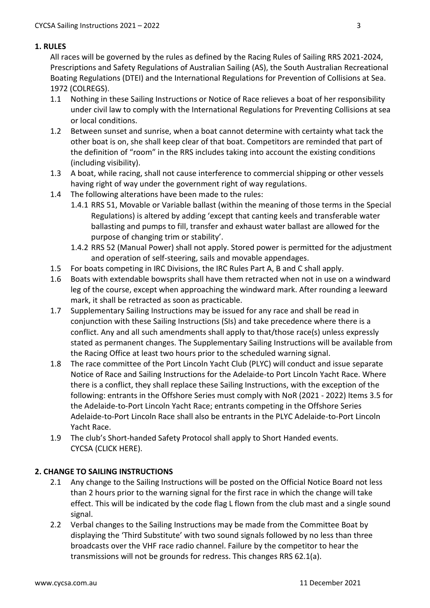# **1. RULES**

All races will be governed by the rules as defined by the Racing Rules of Sailing RRS 2021-2024, Prescriptions and Safety Regulations of Australian Sailing (AS), the South Australian Recreational Boating Regulations (DTEI) and the International Regulations for Prevention of Collisions at Sea. 1972 (COLREGS).

- 1.1 Nothing in these Sailing Instructions or Notice of Race relieves a boat of her responsibility under civil law to comply with the International Regulations for Preventing Collisions at sea or local conditions.
- 1.2 Between sunset and sunrise, when a boat cannot determine with certainty what tack the other boat is on, she shall keep clear of that boat. Competitors are reminded that part of the definition of "room" in the RRS includes taking into account the existing conditions (including visibility).
- 1.3 A boat, while racing, shall not cause interference to commercial shipping or other vessels having right of way under the government right of way regulations.
- 1.4 The following alterations have been made to the rules:
	- 1.4.1 RRS 51, Movable or Variable ballast (within the meaning of those terms in the Special Regulations) is altered by adding 'except that canting keels and transferable water ballasting and pumps to fill, transfer and exhaust water ballast are allowed for the purpose of changing trim or stability'.
	- 1.4.2 RRS 52 (Manual Power) shall not apply. Stored power is permitted for the adjustment and operation of self-steering, sails and movable appendages.
- 1.5 For boats competing in IRC Divisions, the IRC Rules Part A, B and C shall apply.
- 1.6 Boats with extendable bowsprits shall have them retracted when not in use on a windward leg of the course, except when approaching the windward mark. After rounding a leeward mark, it shall be retracted as soon as practicable.
- 1.7 Supplementary Sailing Instructions may be issued for any race and shall be read in conjunction with these Sailing Instructions (SIs) and take precedence where there is a conflict. Any and all such amendments shall apply to that/those race(s) unless expressly stated as permanent changes. The Supplementary Sailing Instructions will be available from the Racing Office at least two hours prior to the scheduled warning signal.
- 1.8 The race committee of the Port Lincoln Yacht Club (PLYC) will conduct and issue separate Notice of Race and Sailing Instructions for the Adelaide-to Port Lincoln Yacht Race. Where there is a conflict, they shall replace these Sailing Instructions, with the exception of the following: entrants in the Offshore Series must comply with NoR (2021 - 2022) Items 3.5 for the Adelaide-to-Port Lincoln Yacht Race; entrants competing in the Offshore Series Adelaide-to-Port Lincoln Race shall also be entrants in the PLYC Adelaide-to-Port Lincoln Yacht Race.
- 1.9 The club's Short-handed Safety Protocol shall apply to Short Handed events. CYCSA (CLICK HERE).

# **2. CHANGE TO SAILING INSTRUCTIONS**

- 2.1 Any change to the Sailing Instructions will be posted on the Official Notice Board not less than 2 hours prior to the warning signal for the first race in which the change will take effect. This will be indicated by the code flag L flown from the club mast and a single sound signal.
- 2.2 Verbal changes to the Sailing Instructions may be made from the Committee Boat by displaying the 'Third Substitute' with two sound signals followed by no less than three broadcasts over the VHF race radio channel. Failure by the competitor to hear the transmissions will not be grounds for redress. This changes RRS 62.1(a).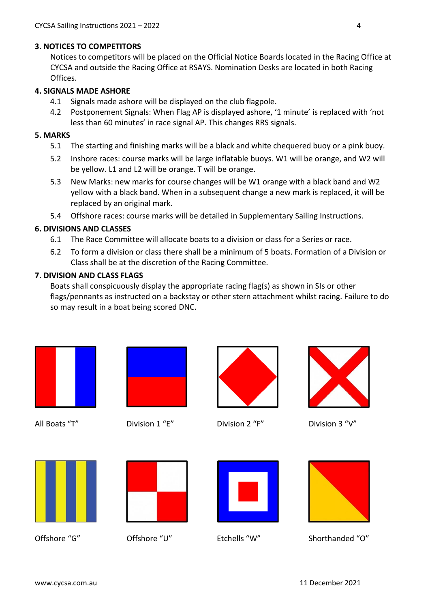# **3. NOTICES TO COMPETITORS**

Notices to competitors will be placed on the Official Notice Boards located in the Racing Office at CYCSA and outside the Racing Office at RSAYS. Nomination Desks are located in both Racing Offices.

## **4. SIGNALS MADE ASHORE**

- 4.1 Signals made ashore will be displayed on the club flagpole.
- 4.2 Postponement Signals: When Flag AP is displayed ashore, '1 minute' is replaced with 'not less than 60 minutes' in race signal AP. This changes RRS signals.

## **5. MARKS**

- 5.1 The starting and finishing marks will be a black and white chequered buoy or a pink buoy.
- 5.2 Inshore races: course marks will be large inflatable buoys. W1 will be orange, and W2 will be yellow. L1 and L2 will be orange. T will be orange.
- 5.3 New Marks: new marks for course changes will be W1 orange with a black band and W2 yellow with a black band. When in a subsequent change a new mark is replaced, it will be replaced by an original mark.
- 5.4 Offshore races: course marks will be detailed in Supplementary Sailing Instructions.

# **6. DIVISIONS AND CLASSES**

- 6.1 The Race Committee will allocate boats to a division or class for a Series or race.
- 6.2 To form a division or class there shall be a minimum of 5 boats. Formation of a Division or Class shall be at the discretion of the Racing Committee.

# **7. DIVISION AND CLASS FLAGS**

Boats shall conspicuously display the appropriate racing flag(s) as shown in SIs or other flags/pennants as instructed on a backstay or other stern attachment whilst racing. Failure to do so may result in a boat being scored DNC.







All Boats "T" Division 1 "E" Division 2 "F" Division 3 "V"









Offshore "G" Offshore "U" Etchells "W" Shorthanded "O"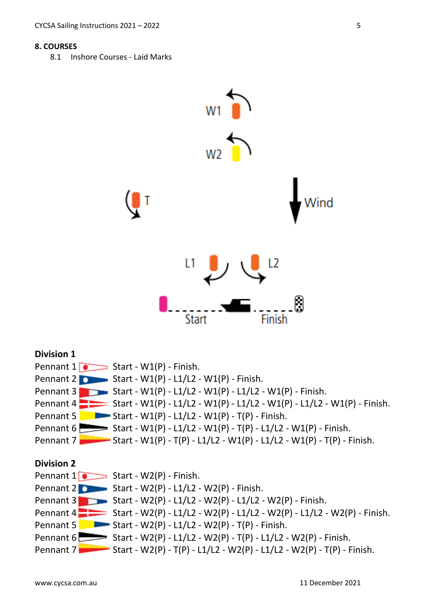#### **8. COURSES**

8.1 Inshore Courses - Laid Marks

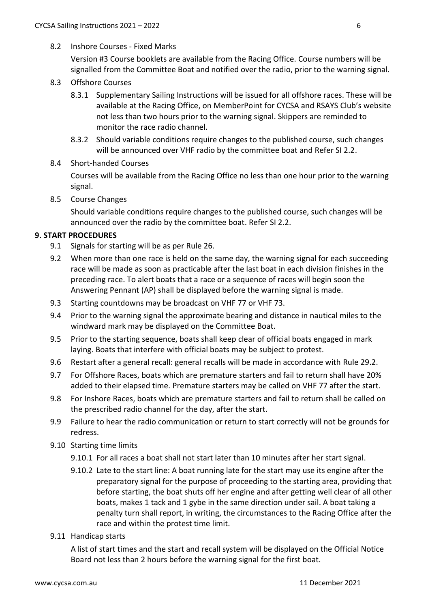# 8.2 Inshore Courses - Fixed Marks

Version #3 Course booklets are available from the Racing Office. Course numbers will be signalled from the Committee Boat and notified over the radio, prior to the warning signal.

- 8.3 Offshore Courses
	- 8.3.1 Supplementary Sailing Instructions will be issued for all offshore races. These will be available at the Racing Office, on MemberPoint for CYCSA and RSAYS Club's website not less than two hours prior to the warning signal. Skippers are reminded to monitor the race radio channel.
	- 8.3.2 Should variable conditions require changes to the published course, such changes will be announced over VHF radio by the committee boat and Refer SI 2.2.

#### 8.4 Short-handed Courses

Courses will be available from the Racing Office no less than one hour prior to the warning signal.

8.5 Course Changes

Should variable conditions require changes to the published course, such changes will be announced over the radio by the committee boat. Refer SI 2.2.

# **9. START PROCEDURES**

- 9.1 Signals for starting will be as per Rule 26.
- 9.2 When more than one race is held on the same day, the warning signal for each succeeding race will be made as soon as practicable after the last boat in each division finishes in the preceding race. To alert boats that a race or a sequence of races will begin soon the Answering Pennant (AP) shall be displayed before the warning signal is made.
- 9.3 Starting countdowns may be broadcast on VHF 77 or VHF 73.
- 9.4 Prior to the warning signal the approximate bearing and distance in nautical miles to the windward mark may be displayed on the Committee Boat.
- 9.5 Prior to the starting sequence, boats shall keep clear of official boats engaged in mark laying. Boats that interfere with official boats may be subject to protest.
- 9.6 Restart after a general recall: general recalls will be made in accordance with Rule 29.2.
- 9.7 For Offshore Races, boats which are premature starters and fail to return shall have 20% added to their elapsed time. Premature starters may be called on VHF 77 after the start.
- 9.8 For Inshore Races, boats which are premature starters and fail to return shall be called on the prescribed radio channel for the day, after the start.
- 9.9 Failure to hear the radio communication or return to start correctly will not be grounds for redress.
- 9.10 Starting time limits
	- 9.10.1 For all races a boat shall not start later than 10 minutes after her start signal.
	- 9.10.2 Late to the start line: A boat running late for the start may use its engine after the preparatory signal for the purpose of proceeding to the starting area, providing that before starting, the boat shuts off her engine and after getting well clear of all other boats, makes 1 tack and 1 gybe in the same direction under sail. A boat taking a penalty turn shall report, in writing, the circumstances to the Racing Office after the race and within the protest time limit.
- 9.11 Handicap starts

A list of start times and the start and recall system will be displayed on the Official Notice Board not less than 2 hours before the warning signal for the first boat.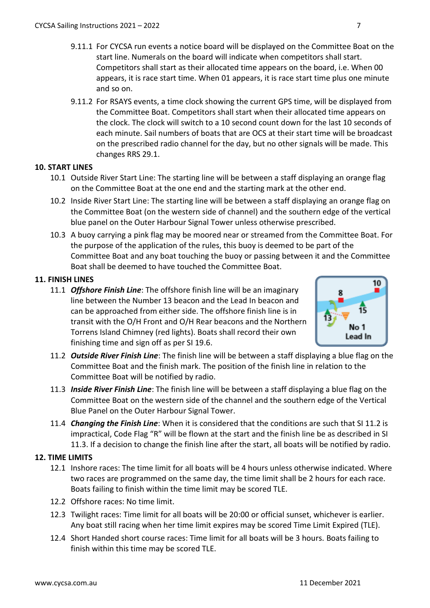- 9.11.1 For CYCSA run events a notice board will be displayed on the Committee Boat on the start line. Numerals on the board will indicate when competitors shall start. Competitors shall start as their allocated time appears on the board, i.e. When 00 appears, it is race start time. When 01 appears, it is race start time plus one minute and so on.
- 9.11.2 For RSAYS events, a time clock showing the current GPS time, will be displayed from the Committee Boat. Competitors shall start when their allocated time appears on the clock. The clock will switch to a 10 second count down for the last 10 seconds of each minute. Sail numbers of boats that are OCS at their start time will be broadcast on the prescribed radio channel for the day, but no other signals will be made. This changes RRS 29.1.

#### **10. START LINES**

- 10.1 Outside River Start Line: The starting line will be between a staff displaying an orange flag on the Committee Boat at the one end and the starting mark at the other end.
- 10.2 Inside River Start Line: The starting line will be between a staff displaying an orange flag on the Committee Boat (on the western side of channel) and the southern edge of the vertical blue panel on the Outer Harbour Signal Tower unless otherwise prescribed.
- 10.3 A buoy carrying a pink flag may be moored near or streamed from the Committee Boat. For the purpose of the application of the rules, this buoy is deemed to be part of the Committee Boat and any boat touching the buoy or passing between it and the Committee Boat shall be deemed to have touched the Committee Boat.

# **11. FINISH LINES**

11.1 *Offshore Finish Line*: The offshore finish line will be an imaginary line between the Number 13 beacon and the Lead In beacon and can be approached from either side. The offshore finish line is in transit with the O/H Front and O/H Rear beacons and the Northern Torrens Island Chimney (red lights). Boats shall record their own finishing time and sign off as per SI 19.6.



- 11.2 *Outside River Finish Line*: The finish line will be between a staff displaying a blue flag on the Committee Boat and the finish mark. The position of the finish line in relation to the Committee Boat will be notified by radio.
- 11.3 *Inside River Finish Line*: The finish line will be between a staff displaying a blue flag on the Committee Boat on the western side of the channel and the southern edge of the Vertical Blue Panel on the Outer Harbour Signal Tower.
- 11.4 *Changing the Finish Line*: When it is considered that the conditions are such that SI 11.2 is impractical, Code Flag "R" will be flown at the start and the finish line be as described in SI 11.3. If a decision to change the finish line after the start, all boats will be notified by radio.

#### **12. TIME LIMITS**

- 12.1 Inshore races: The time limit for all boats will be 4 hours unless otherwise indicated. Where two races are programmed on the same day, the time limit shall be 2 hours for each race. Boats failing to finish within the time limit may be scored TLE.
- 12.2 Offshore races: No time limit.
- 12.3 Twilight races: Time limit for all boats will be 20:00 or official sunset, whichever is earlier. Any boat still racing when her time limit expires may be scored Time Limit Expired (TLE).
- 12.4 Short Handed short course races: Time limit for all boats will be 3 hours. Boats failing to finish within this time may be scored TLE.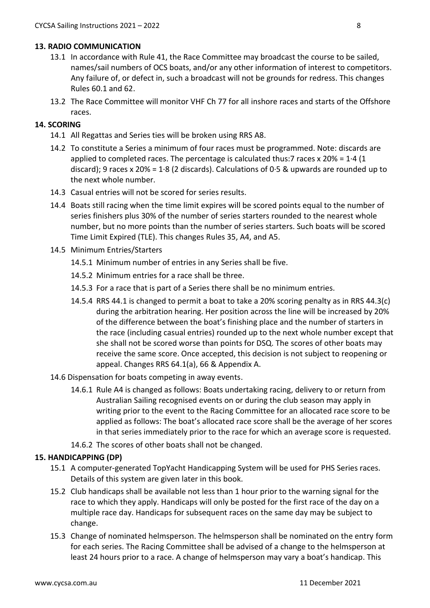#### **13. RADIO COMMUNICATION**

- 13.1 In accordance with Rule 41, the Race Committee may broadcast the course to be sailed, names/sail numbers of OCS boats, and/or any other information of interest to competitors. Any failure of, or defect in, such a broadcast will not be grounds for redress. This changes Rules 60.1 and 62.
- 13.2 The Race Committee will monitor VHF Ch 77 for all inshore races and starts of the Offshore races.

# **14. SCORING**

- 14.1 All Regattas and Series ties will be broken using RRS A8.
- 14.2 To constitute a Series a minimum of four races must be programmed. Note: discards are applied to completed races. The percentage is calculated thus:7 races x  $20\% = 1.4$  (1) discard); 9 races x 20% = 1.8 (2 discards). Calculations of 0.5 & upwards are rounded up to the next whole number.
- 14.3 Casual entries will not be scored for series results.
- 14.4 Boats still racing when the time limit expires will be scored points equal to the number of series finishers plus 30% of the number of series starters rounded to the nearest whole number, but no more points than the number of series starters. Such boats will be scored Time Limit Expired (TLE). This changes Rules 35, A4, and A5.
- 14.5 Minimum Entries/Starters
	- 14.5.1 Minimum number of entries in any Series shall be five.
	- 14.5.2 Minimum entries for a race shall be three.
	- 14.5.3 For a race that is part of a Series there shall be no minimum entries.
	- 14.5.4 RRS 44.1 is changed to permit a boat to take a 20% scoring penalty as in RRS 44.3(c) during the arbitration hearing. Her position across the line will be increased by 20% of the difference between the boat's finishing place and the number of starters in the race (including casual entries) rounded up to the next whole number except that she shall not be scored worse than points for DSQ. The scores of other boats may receive the same score. Once accepted, this decision is not subject to reopening or appeal. Changes RRS 64.1(a), 66 & Appendix A.
- 14.6 Dispensation for boats competing in away events.
	- 14.6.1 Rule A4 is changed as follows: Boats undertaking racing, delivery to or return from Australian Sailing recognised events on or during the club season may apply in writing prior to the event to the Racing Committee for an allocated race score to be applied as follows: The boat's allocated race score shall be the average of her scores in that series immediately prior to the race for which an average score is requested.
	- 14.6.2 The scores of other boats shall not be changed.

#### **15. HANDICAPPING (DP)**

- 15.1 A computer-generated TopYacht Handicapping System will be used for PHS Series races. Details of this system are given later in this book.
- 15.2 Club handicaps shall be available not less than 1 hour prior to the warning signal for the race to which they apply. Handicaps will only be posted for the first race of the day on a multiple race day. Handicaps for subsequent races on the same day may be subject to change.
- 15.3 Change of nominated helmsperson. The helmsperson shall be nominated on the entry form for each series. The Racing Committee shall be advised of a change to the helmsperson at least 24 hours prior to a race. A change of helmsperson may vary a boat's handicap. This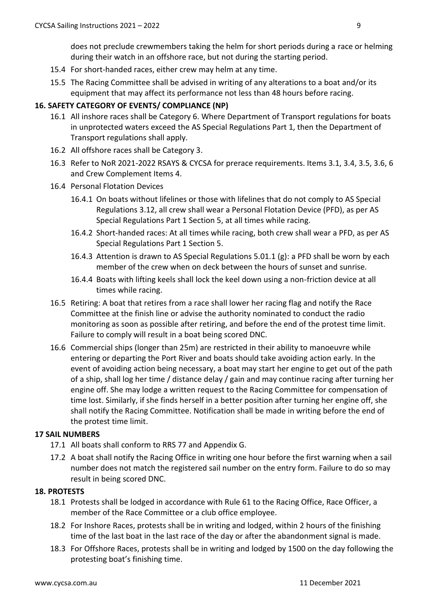does not preclude crewmembers taking the helm for short periods during a race or helming during their watch in an offshore race, but not during the starting period.

- 15.4 For short-handed races, either crew may helm at any time.
- 15.5 The Racing Committee shall be advised in writing of any alterations to a boat and/or its equipment that may affect its performance not less than 48 hours before racing.

# **16. SAFETY CATEGORY OF EVENTS/ COMPLIANCE (NP)**

- 16.1 All inshore races shall be Category 6. Where Department of Transport regulations for boats in unprotected waters exceed the AS Special Regulations Part 1, then the Department of Transport regulations shall apply.
- 16.2 All offshore races shall be Category 3.
- 16.3 Refer to NoR 2021-2022 RSAYS & CYCSA for prerace requirements. Items 3.1, 3.4, 3.5, 3.6, 6 and Crew Complement Items 4.
- 16.4 Personal Flotation Devices
	- 16.4.1 On boats without lifelines or those with lifelines that do not comply to AS Special Regulations 3.12, all crew shall wear a Personal Flotation Device (PFD), as per AS Special Regulations Part 1 Section 5, at all times while racing.
	- 16.4.2 Short-handed races: At all times while racing, both crew shall wear a PFD, as per AS Special Regulations Part 1 Section 5.
	- 16.4.3 Attention is drawn to AS Special Regulations 5.01.1 (g): a PFD shall be worn by each member of the crew when on deck between the hours of sunset and sunrise.
	- 16.4.4 Boats with lifting keels shall lock the keel down using a non-friction device at all times while racing.
- 16.5 Retiring: A boat that retires from a race shall lower her racing flag and notify the Race Committee at the finish line or advise the authority nominated to conduct the radio monitoring as soon as possible after retiring, and before the end of the protest time limit. Failure to comply will result in a boat being scored DNC.
- 16.6 Commercial ships (longer than 25m) are restricted in their ability to manoeuvre while entering or departing the Port River and boats should take avoiding action early. In the event of avoiding action being necessary, a boat may start her engine to get out of the path of a ship, shall log her time / distance delay / gain and may continue racing after turning her engine off. She may lodge a written request to the Racing Committee for compensation of time lost. Similarly, if she finds herself in a better position after turning her engine off, she shall notify the Racing Committee. Notification shall be made in writing before the end of the protest time limit.

#### **17 SAIL NUMBERS**

- 17.1 All boats shall conform to RRS 77 and Appendix G.
- 17.2 A boat shall notify the Racing Office in writing one hour before the first warning when a sail number does not match the registered sail number on the entry form. Failure to do so may result in being scored DNC.

#### **18. PROTESTS**

- 18.1 Protests shall be lodged in accordance with Rule 61 to the Racing Office, Race Officer, a member of the Race Committee or a club office employee.
- 18.2 For Inshore Races, protests shall be in writing and lodged, within 2 hours of the finishing time of the last boat in the last race of the day or after the abandonment signal is made.
- 18.3 For Offshore Races, protests shall be in writing and lodged by 1500 on the day following the protesting boat's finishing time.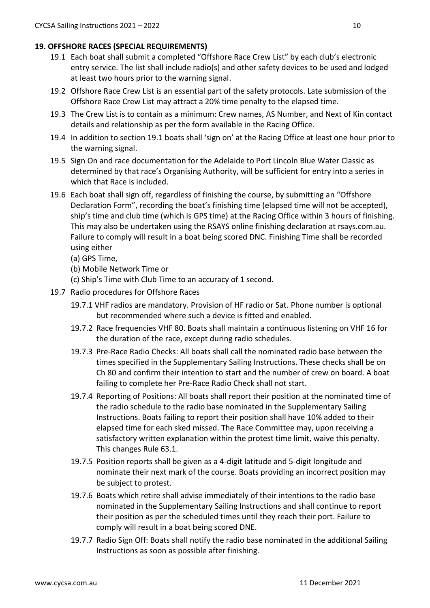# **19. OFFSHORE RACES (SPECIAL REQUIREMENTS)**

- 19.1 Each boat shall submit a completed "Offshore Race Crew List" by each club's electronic entry service. The list shall include radio(s) and other safety devices to be used and lodged at least two hours prior to the warning signal.
- 19.2 Offshore Race Crew List is an essential part of the safety protocols. Late submission of the Offshore Race Crew List may attract a 20% time penalty to the elapsed time.
- 19.3 The Crew List is to contain as a minimum: Crew names, AS Number, and Next of Kin contact details and relationship as per the form available in the Racing Office.
- 19.4 In addition to section 19.1 boats shall 'sign on' at the Racing Office at least one hour prior to the warning signal.
- 19.5 Sign On and race documentation for the Adelaide to Port Lincoln Blue Water Classic as determined by that race's Organising Authority, will be sufficient for entry into a series in which that Race is included.
- 19.6 Each boat shall sign off, regardless of finishing the course, by submitting an "Offshore Declaration Form", recording the boat's finishing time (elapsed time will not be accepted), ship's time and club time (which is GPS time) at the Racing Office within 3 hours of finishing. This may also be undertaken using the RSAYS online finishing declaration at rsays.com.au. Failure to comply will result in a boat being scored DNC. Finishing Time shall be recorded using either
	- (a) GPS Time,
	- (b) Mobile Network Time or
	- (c) Ship's Time with Club Time to an accuracy of 1 second.
- 19.7 Radio procedures for Offshore Races
	- 19.7.1 VHF radios are mandatory. Provision of HF radio or Sat. Phone number is optional but recommended where such a device is fitted and enabled.
	- 19.7.2 Race frequencies VHF 80. Boats shall maintain a continuous listening on VHF 16 for the duration of the race, except during radio schedules.
	- 19.7.3 Pre-Race Radio Checks: All boats shall call the nominated radio base between the times specified in the Supplementary Sailing Instructions. These checks shall be on Ch 80 and confirm their intention to start and the number of crew on board. A boat failing to complete her Pre-Race Radio Check shall not start.
	- 19.7.4 Reporting of Positions: All boats shall report their position at the nominated time of the radio schedule to the radio base nominated in the Supplementary Sailing Instructions. Boats failing to report their position shall have 10% added to their elapsed time for each sked missed. The Race Committee may, upon receiving a satisfactory written explanation within the protest time limit, waive this penalty. This changes Rule 63.1.
	- 19.7.5 Position reports shall be given as a 4-digit latitude and 5-digit longitude and nominate their next mark of the course. Boats providing an incorrect position may be subject to protest.
	- 19.7.6 Boats which retire shall advise immediately of their intentions to the radio base nominated in the Supplementary Sailing Instructions and shall continue to report their position as per the scheduled times until they reach their port. Failure to comply will result in a boat being scored DNE.
	- 19.7.7 Radio Sign Off: Boats shall notify the radio base nominated in the additional Sailing Instructions as soon as possible after finishing.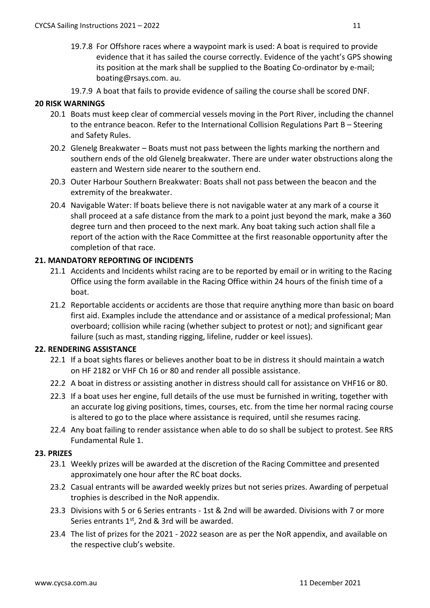- 19.7.8 For Offshore races where a waypoint mark is used: A boat is required to provide evidence that it has sailed the course correctly. Evidence of the yacht's GPS showing its position at the mark shall be supplied to the Boating Co-ordinator by e-mail; boating@rsays.com. au.
- 19.7.9 A boat that fails to provide evidence of sailing the course shall be scored DNF.

# **20 RISK WARNINGS**

- 20.1 Boats must keep clear of commercial vessels moving in the Port River, including the channel to the entrance beacon. Refer to the International Collision Regulations Part B – Steering and Safety Rules.
- 20.2 Glenelg Breakwater Boats must not pass between the lights marking the northern and southern ends of the old Glenelg breakwater. There are under water obstructions along the eastern and Western side nearer to the southern end.
- 20.3 Outer Harbour Southern Breakwater: Boats shall not pass between the beacon and the extremity of the breakwater.
- 20.4 Navigable Water: If boats believe there is not navigable water at any mark of a course it shall proceed at a safe distance from the mark to a point just beyond the mark, make a 360 degree turn and then proceed to the next mark. Any boat taking such action shall file a report of the action with the Race Committee at the first reasonable opportunity after the completion of that race.

#### **21. MANDATORY REPORTING OF INCIDENTS**

- 21.1 Accidents and Incidents whilst racing are to be reported by email or in writing to the Racing Office using the form available in the Racing Office within 24 hours of the finish time of a boat.
- 21.2 Reportable accidents or accidents are those that require anything more than basic on board first aid. Examples include the attendance and or assistance of a medical professional; Man overboard; collision while racing (whether subject to protest or not); and significant gear failure (such as mast, standing rigging, lifeline, rudder or keel issues).

#### **22. RENDERING ASSISTANCE**

- 22.1 If a boat sights flares or believes another boat to be in distress it should maintain a watch on HF 2182 or VHF Ch 16 or 80 and render all possible assistance.
- 22.2 A boat in distress or assisting another in distress should call for assistance on VHF16 or 80.
- 22.3 If a boat uses her engine, full details of the use must be furnished in writing, together with an accurate log giving positions, times, courses, etc. from the time her normal racing course is altered to go to the place where assistance is required, until she resumes racing.
- 22.4 Any boat failing to render assistance when able to do so shall be subject to protest. See RRS Fundamental Rule 1.

#### **23. PRIZES**

- 23.1 Weekly prizes will be awarded at the discretion of the Racing Committee and presented approximately one hour after the RC boat docks.
- 23.2 Casual entrants will be awarded weekly prizes but not series prizes. Awarding of perpetual trophies is described in the NoR appendix.
- 23.3 Divisions with 5 or 6 Series entrants 1st & 2nd will be awarded. Divisions with 7 or more Series entrants  $1<sup>st</sup>$ , 2nd & 3rd will be awarded.
- 23.4 The list of prizes for the 2021 2022 season are as per the NoR appendix, and available on the respective club's website.